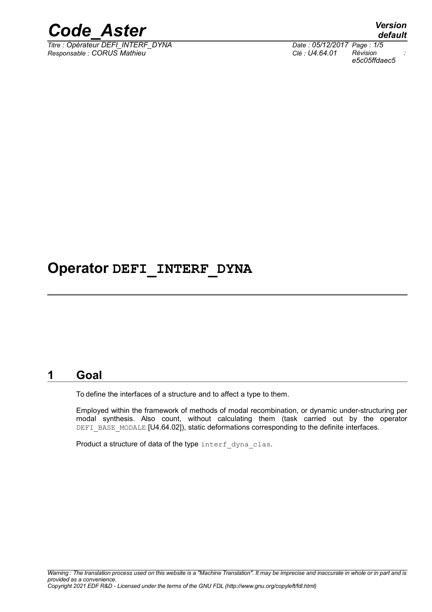

 $\frac{1}{\text{Time : } \text{Object}}$  *DEFI\_INTERF\_DYNA Responsable : CORUS Mathieu Clé : U4.64.01 Révision :*

*default e5c05ffdaec5*

# **Operator DEFI\_INTERF\_DYNA**

### **1 Goal**

<span id="page-0-0"></span>To define the interfaces of a structure and to affect a type to them.

Employed within the framework of methods of modal recombination, or dynamic under-structuring per modal synthesis. Also count, without calculating them (task carried out by the operator DEFI\_BASE\_MODALE [U4.64.02]), static deformations corresponding to the definite interfaces.

Product a structure of data of the type interf dyna clas.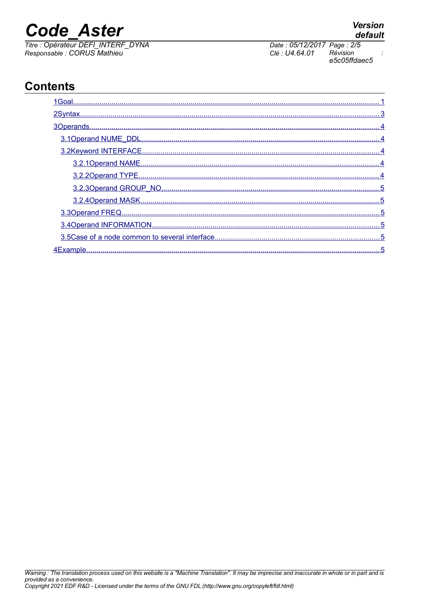# **Code Aster**

Titre : Opérateur DEFI\_INTERF\_DYNA Responsable : CORUS Mathieu

# **Contents**

| 4Fxamnle | 5 |
|----------|---|



Date: 05/12/2017 Page: 2/5 Clé : U4.64.01 Révision e5c05ffdaec5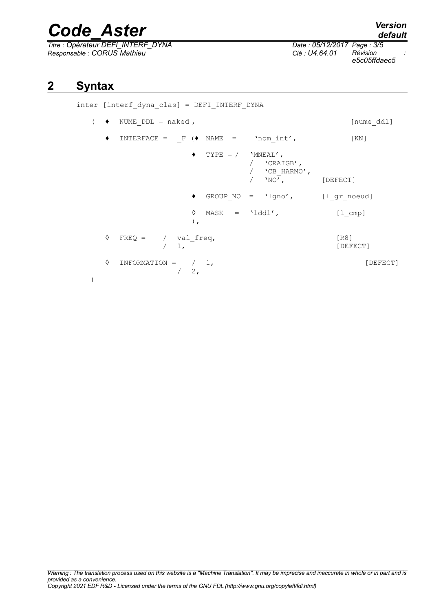# *Code\_Aster Version*

*Titre : Opérateur DEFI\_INTERF\_DYNA Date : 05/12/2017 Page : 3/5 Responsable : CORUS Mathieu Clé : U4.64.01 Révision :*

*e5c05ffdaec5*

### **2 Syntax**

```
inter [interf_dyna_clas] = DEFI_INTERF_DYNA
( \bullet NUME DDL = naked , [nume ddl]
   \blacklozenge INTERFACE = \_\text{F} (\blacklozenge NAME = 'nom_int', [KN]
                  \blacklozenge TYPE = / 'MNEAL',
                             / 'CRAIGB',
                             / 'CB_HARMO',<br>/ 'NO',
                                          [DEFECT]
                  ♦ GROUP_NO = 'lgno', [l_gr_noeud]
                  ◊ MASK = 'lddl', [l_cmp]
                  ),
   \Diamond FREQ = / val freq, [R8]
             / 1, [DEFECT]
   \Diamond INFORMATION = / 1, [DEFect]/2,
)
```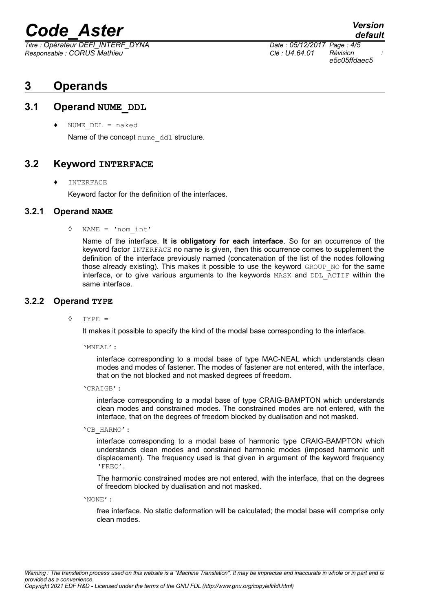# *Code\_Aster Version*

*Titre : Opérateur DEFI\_INTERF\_DYNA Date : 05/12/2017 Page : 4/5 Responsable : CORUS Mathieu Clé : U4.64.01 Révision :*

*e5c05ffdaec5*

*default*

## <span id="page-3-4"></span>**3 Operands**

#### **3.1 Operand NUME\_DDL**

<span id="page-3-3"></span>NUME  $DDL = naked$ Name of the concept nume ddl structure.

#### **3.2 Keyword INTERFACE**

<span id="page-3-2"></span>♦ INTERFACE

<span id="page-3-1"></span>Keyword factor for the definition of the interfaces.

#### **3.2.1 Operand NAME**

◊ NAME = 'nom\_int'

Name of the interface. **It is obligatory for each interface**. So for an occurrence of the keyword factor INTERFACE no name is given, then this occurrence comes to supplement the definition of the interface previously named (concatenation of the list of the nodes following those already existing). This makes it possible to use the keyword  $GROUP-NO$  for the same interface, or to give various arguments to the keywords MASK and DDL\_ACTIF within the same interface.

#### **3.2.2 Operand TYPE**

<span id="page-3-0"></span>◊ TYPE =

It makes it possible to specify the kind of the modal base corresponding to the interface.

'MNEAL':

interface corresponding to a modal base of type MAC-NEAL which understands clean modes and modes of fastener. The modes of fastener are not entered, with the interface, that on the not blocked and not masked degrees of freedom.

'CRAIGB':

interface corresponding to a modal base of type CRAIG-BAMPTON which understands clean modes and constrained modes. The constrained modes are not entered, with the interface, that on the degrees of freedom blocked by dualisation and not masked.

'CB\_HARMO':

interface corresponding to a modal base of harmonic type CRAIG-BAMPTON which understands clean modes and constrained harmonic modes (imposed harmonic unit displacement). The frequency used is that given in argument of the keyword frequency 'FREQ'.

The harmonic constrained modes are not entered, with the interface, that on the degrees of freedom blocked by dualisation and not masked.

'NONE':

free interface. No static deformation will be calculated; the modal base will comprise only clean modes.